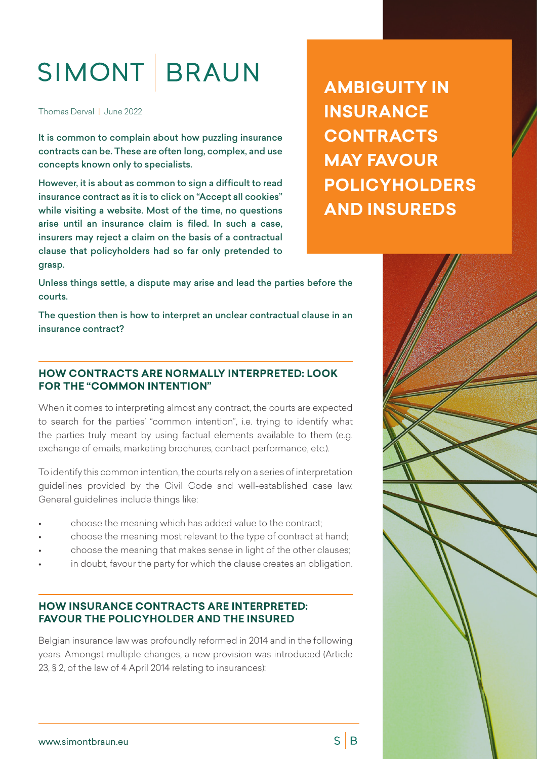# SIMONT BRAUN

Thomas Derval | June 2022

It is common to complain about how puzzling insurance contracts can be. These are often long, complex, and use concepts known only to specialists.

However, it is about as common to sign a difficult to read insurance contract as it is to click on "Accept all cookies" while visiting a website. Most of the time, no questions arise until an insurance claim is filed. In such a case, insurers may reject a claim on the basis of a contractual clause that policyholders had so far only pretended to grasp.

**AMBIGUITY IN INSURANCE CONTRACTS MAY FAVOUR POLICYHOLDERS AND INSUREDS**

Unless things settle, a dispute may arise and lead the parties before the courts.

The question then is how to interpret an unclear contractual clause in an insurance contract?

## **HOW CONTRACTS ARE NORMALLY INTERPRETED: LOOK FOR THE "COMMON INTENTION"**

When it comes to interpreting almost any contract, the courts are expected to search for the parties' "common intention", i.e. trying to identify what the parties truly meant by using factual elements available to them (e.g. exchange of emails, marketing brochures, contract performance, etc.).

To identify this common intention, the courts rely on a series of interpretation guidelines provided by the Civil Code and well-established case law. General guidelines include things like:

- choose the meaning which has added value to the contract;
- choose the meaning most relevant to the type of contract at hand;
- choose the meaning that makes sense in light of the other clauses;
- in doubt, favour the party for which the clause creates an obligation.

#### **HOW INSURANCE CONTRACTS ARE INTERPRETED: FAVOUR THE POLICYHOLDER AND THE INSURED**

Belgian insurance law was profoundly reformed in 2014 and in the following years. Amongst multiple changes, a new provision was introduced (Article 23, § 2, of the law of 4 April 2014 relating to insurances):



 $S \mid B$ 

[www.simontbraun.eu](http://www.simontbraun.eu)